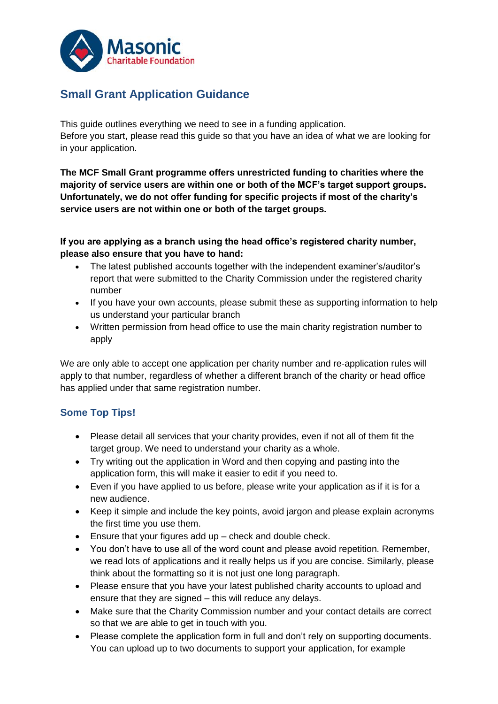

# **Small Grant Application Guidance**

This guide outlines everything we need to see in a funding application. Before you start, please read this guide so that you have an idea of what we are looking for in your application.

**The MCF Small Grant programme offers unrestricted funding to charities where the majority of service users are within one or both of the MCF's target support groups. Unfortunately, we do not offer funding for specific projects if most of the charity's service users are not within one or both of the target groups.** 

**If you are applying as a branch using the head office's registered charity number, please also ensure that you have to hand:**

- The latest published accounts together with the independent examiner's/auditor's report that were submitted to the Charity Commission under the registered charity number
- If you have your own accounts, please submit these as supporting information to help us understand your particular branch
- Written permission from head office to use the main charity registration number to apply

We are only able to accept one application per charity number and re-application rules will apply to that number, regardless of whether a different branch of the charity or head office has applied under that same registration number.

# **Some Top Tips!**

- Please detail all services that your charity provides, even if not all of them fit the target group. We need to understand your charity as a whole.
- Try writing out the application in Word and then copying and pasting into the application form, this will make it easier to edit if you need to.
- Even if you have applied to us before, please write your application as if it is for a new audience.
- Keep it simple and include the key points, avoid jargon and please explain acronyms the first time you use them.
- Ensure that your figures add up check and double check.
- You don't have to use all of the word count and please avoid repetition. Remember, we read lots of applications and it really helps us if you are concise. Similarly, please think about the formatting so it is not just one long paragraph.
- Please ensure that you have your latest published charity accounts to upload and ensure that they are signed – this will reduce any delays.
- Make sure that the Charity Commission number and your contact details are correct so that we are able to get in touch with you.
- Please complete the application form in full and don't rely on supporting documents. You can upload up to two documents to support your application, for example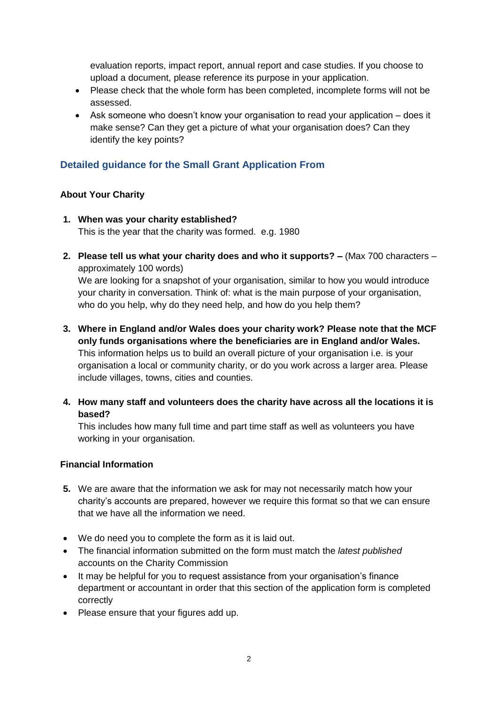evaluation reports, impact report, annual report and case studies. If you choose to upload a document, please reference its purpose in your application.

- Please check that the whole form has been completed, incomplete forms will not be assessed.
- Ask someone who doesn't know your organisation to read your application does it make sense? Can they get a picture of what your organisation does? Can they identify the key points?

# **Detailed guidance for the Small Grant Application From**

#### **About Your Charity**

- **1. When was your charity established?**  This is the year that the charity was formed. e.g. 1980
- **2. Please tell us what your charity does and who it supports? –** (Max 700 characters approximately 100 words)

We are looking for a snapshot of your organisation, similar to how you would introduce your charity in conversation. Think of: what is the main purpose of your organisation, who do you help, why do they need help, and how do you help them?

- **3. Where in England and/or Wales does your charity work? Please note that the MCF only funds organisations where the beneficiaries are in England and/or Wales.** This information helps us to build an overall picture of your organisation i.e. is your organisation a local or community charity, or do you work across a larger area. Please include villages, towns, cities and counties.
- **4. How many staff and volunteers does the charity have across all the locations it is based?**

This includes how many full time and part time staff as well as volunteers you have working in your organisation.

#### **Financial Information**

- **5.** We are aware that the information we ask for may not necessarily match how your charity's accounts are prepared, however we require this format so that we can ensure that we have all the information we need.
- We do need you to complete the form as it is laid out.
- The financial information submitted on the form must match the *latest published* accounts on the Charity Commission
- It may be helpful for you to request assistance from your organisation's finance department or accountant in order that this section of the application form is completed correctly
- Please ensure that your figures add up.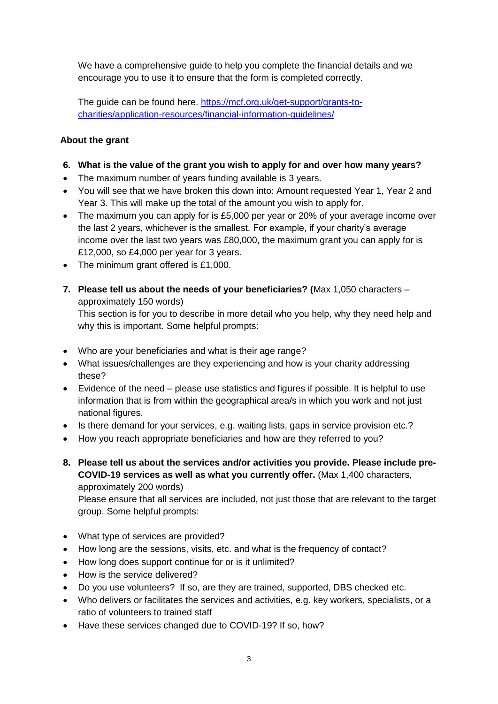We have a comprehensive guide to help you complete the financial details and we encourage you to use it to ensure that the form is completed correctly.

The guide can be found here. [https://mcf.org.uk/get-support/grants-to](https://mcf.org.uk/get-support/grants-to-charities/application-resources/financial-information-guidelines/)[charities/application-resources/financial-information-guidelines/](https://mcf.org.uk/get-support/grants-to-charities/application-resources/financial-information-guidelines/)

# **About the grant**

- **6. What is the value of the grant you wish to apply for and over how many years?**
- The maximum number of years funding available is 3 years.
- You will see that we have broken this down into: Amount requested Year 1, Year 2 and Year 3. This will make up the total of the amount you wish to apply for.
- The maximum you can apply for is £5,000 per year or 20% of your average income over the last 2 years, whichever is the smallest. For example, if your charity's average income over the last two years was £80,000, the maximum grant you can apply for is £12,000, so £4,000 per year for 3 years.
- The minimum grant offered is £1,000.
- **7. Please tell us about the needs of your beneficiaries? (**Max 1,050 characters approximately 150 words)

This section is for you to describe in more detail who you help, why they need help and why this is important. Some helpful prompts:

- Who are your beneficiaries and what is their age range?
- What issues/challenges are they experiencing and how is your charity addressing these?
- Evidence of the need please use statistics and figures if possible. It is helpful to use information that is from within the geographical area/s in which you work and not just national figures.
- Is there demand for your services, e.g. waiting lists, gaps in service provision etc.?
- How you reach appropriate beneficiaries and how are they referred to you?
- **8. Please tell us about the services and/or activities you provide. Please include pre-COVID-19 services as well as what you currently offer.** (Max 1,400 characters, approximately 200 words)

Please ensure that all services are included, not just those that are relevant to the target group. Some helpful prompts:

- What type of services are provided?
- How long are the sessions, visits, etc. and what is the frequency of contact?
- How long does support continue for or is it unlimited?
- How is the service delivered?
- Do you use volunteers? If so, are they are trained, supported, DBS checked etc.
- Who delivers or facilitates the services and activities, e.g. key workers, specialists, or a ratio of volunteers to trained staff
- Have these services changed due to COVID-19? If so, how?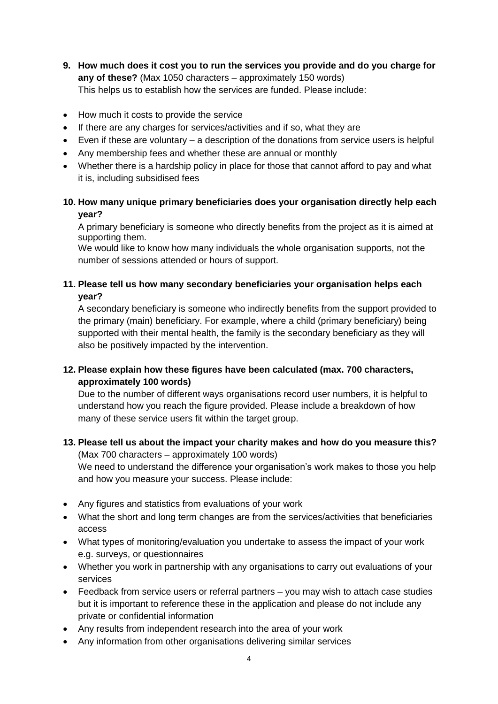- **9. How much does it cost you to run the services you provide and do you charge for any of these?** (Max 1050 characters – approximately 150 words) This helps us to establish how the services are funded. Please include:
- How much it costs to provide the service
- If there are any charges for services/activities and if so, what they are
- Even if these are voluntary a description of the donations from service users is helpful
- Any membership fees and whether these are annual or monthly
- Whether there is a hardship policy in place for those that cannot afford to pay and what it is, including subsidised fees

### **10. How many unique primary beneficiaries does your organisation directly help each year?**

A primary beneficiary is someone who directly benefits from the project as it is aimed at supporting them.

We would like to know how many individuals the whole organisation supports, not the number of sessions attended or hours of support.

### **11. Please tell us how many secondary beneficiaries your organisation helps each year?**

A secondary beneficiary is someone who indirectly benefits from the support provided to the primary (main) beneficiary. For example, where a child (primary beneficiary) being supported with their mental health, the family is the secondary beneficiary as they will also be positively impacted by the intervention.

#### **12. Please explain how these figures have been calculated (max. 700 characters, approximately 100 words)**

Due to the number of different ways organisations record user numbers, it is helpful to understand how you reach the figure provided. Please include a breakdown of how many of these service users fit within the target group.

# **13. Please tell us about the impact your charity makes and how do you measure this?**

(Max 700 characters – approximately 100 words) We need to understand the difference your organisation's work makes to those you help and how you measure your success. Please include:

- Any figures and statistics from evaluations of your work
- What the short and long term changes are from the services/activities that beneficiaries access
- What types of monitoring/evaluation you undertake to assess the impact of your work e.g. surveys, or questionnaires
- Whether you work in partnership with any organisations to carry out evaluations of your services
- Feedback from service users or referral partners you may wish to attach case studies but it is important to reference these in the application and please do not include any private or confidential information
- Any results from independent research into the area of your work
- Any information from other organisations delivering similar services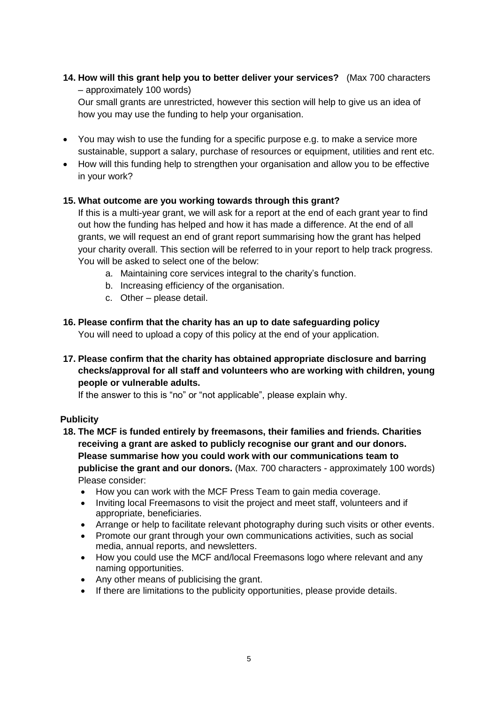**14. How will this grant help you to better deliver your services?** (Max 700 characters – approximately 100 words)

Our small grants are unrestricted, however this section will help to give us an idea of how you may use the funding to help your organisation.

- You may wish to use the funding for a specific purpose e.g. to make a service more sustainable, support a salary, purchase of resources or equipment, utilities and rent etc.
- How will this funding help to strengthen your organisation and allow you to be effective in your work?

#### **15. What outcome are you working towards through this grant?**

If this is a multi-year grant, we will ask for a report at the end of each grant year to find out how the funding has helped and how it has made a difference. At the end of all grants, we will request an end of grant report summarising how the grant has helped your charity overall. This section will be referred to in your report to help track progress. You will be asked to select one of the below:

- a. Maintaining core services integral to the charity's function.
- b. Increasing efficiency of the organisation.
- c. Other please detail.

#### **16. Please confirm that the charity has an up to date safeguarding policy**

You will need to upload a copy of this policy at the end of your application.

**17. Please confirm that the charity has obtained appropriate disclosure and barring checks/approval for all staff and volunteers who are working with children, young people or vulnerable adults.**

If the answer to this is "no" or "not applicable", please explain why.

#### **Publicity**

- **18. The MCF is funded entirely by freemasons, their families and friends. Charities receiving a grant are asked to publicly recognise our grant and our donors. Please summarise how you could work with our communications team to publicise the grant and our donors.** (Max. 700 characters - approximately 100 words) Please consider:
	- How you can work with the MCF Press Team to gain media coverage.
	- Inviting local Freemasons to visit the project and meet staff, volunteers and if appropriate, beneficiaries.
	- Arrange or help to facilitate relevant photography during such visits or other events.
	- Promote our grant through your own communications activities, such as social media, annual reports, and newsletters.
	- How you could use the MCF and/local Freemasons logo where relevant and any naming opportunities.
	- Any other means of publicising the grant.
	- If there are limitations to the publicity opportunities, please provide details.